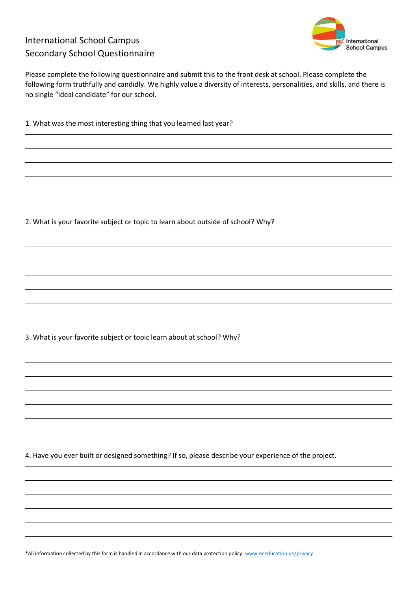## International School Campus Secondary School Questionnaire



Please complete the following questionnaire and submit this to the front desk at school. Please complete the following form truthfully and candidly. We highly value a diversity of interests, personalities, and skills, and there is no single "ideal candidate" for our school.

1. What was the most interesting thing that you learned last year?

2. What is your favorite subject or topic to learn about outside of school? Why?

3. What is your favorite subject or topic learn about at school? Why?

4. Have you ever built or designed something? If so, please describe your experience of the project.

\*All information collected by this form is handled in accordance with our data protection policy[: www.isceducation.de/privacy](http://www.isceducation.de/privacy)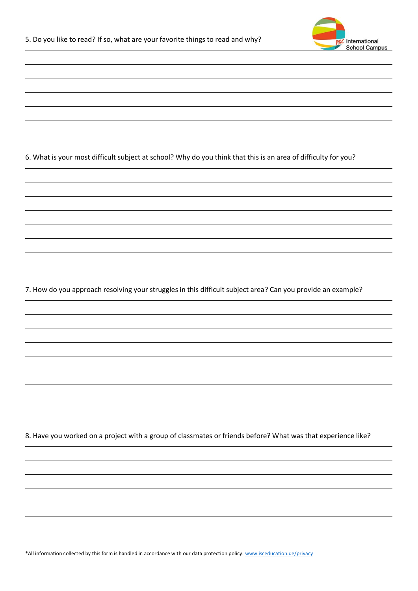

6. What is your most difficult subject at school? Why do you think that this is an area of difficulty for you?

7. How do you approach resolving your struggles in this difficult subject area? Can you provide an example?

8. Have you worked on a project with a group of classmates or friends before? What was that experience like?

\*All information collected by this form is handled in accordance with our data protection policy[: www.isceducation.de/privacy](http://www.isceducation.de/privacy)